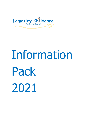

# Information Pack 2021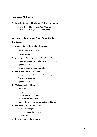# **Lamesley Childcare**

The Lamesley Childcare Membership Pack has two sections:

- Section I: How to Use Your Club Guide
- Section 2: Change to Contract Form

# **Section 1: How to Use Your Club Guide**

# **Contents**

#### **1. Introduction to Lamesley Childcare**

Staff at Lamesley Childcare

Services offered

#### **2. Quick guide to using your club at Lamesley Childcare**

Making bookings for your child to attend the club

Payment of fees

Making changes to bookings made

#### **3. Membership/Contract Form**

Changes to information on the Membership Form

Charges for services used

Payment of fees

#### **4. Collection of children**

**Cancellations** 

Emergency collections

Extreme weather conditions

Late collection by parents

Additional charges for late collection of children

#### **5. Administration of medicines**

Reaction to allergies

Emergency medical treatment

Sun protection

#### **6. Loss or damage to property**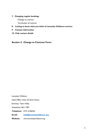#### **7. Changing regular bookings**

Changes to contract

Termination of contract

## **8. Letting us know what you think of Lamesley Childcare services**

- **9. Contact information**
- **10. Club contact details**

**Section 2: Change to Contract Form**

Lamesley Childcare Head Office: Suite 2/3 Earls House Earlsway, Team Valley Gateshead, NE11 0RY **Telephone**: 0191-4106526 **Email: [info@lamesleychildcare.org](mailto:info@lamesleychildcare.org) Website:** www.lamesleychildcare.org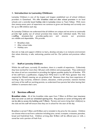# **1. Introduction to Lamesley Childcare**

Lamesley Childcare is one of the largest and longest established out of school childcare providers in Gateshead. We offer [breakfast clubs](http://www.lamesleychildcare.org/services/breakfast-clubs.html) and [after school provision](http://www.lamesleychildcare.org/services/after-school-clubs.html) in six local schools and a centrally based [holiday club in Lamesley](http://www.lamesleychildcare.org/services/holiday-club.html) (close to Team Valley). With more than twenty-seven years of experience we continue to grow and develop and currently care for up to 300 children each day.

At Lamesley Childcare we understand that all children are unique and we strive to continually provide high quality out of school provision that meets their individual needs. We have a staffing structure that provides quality care and ensures our provisions are reliable and dependable**.** We provide:

- **Breakfast clubs**
- **After school clubs**
- **Holiday care**

that aim to help and support children to learn**,** develop and play in an inclusive environment that values diversity, is safe, welcoming, positive and fun. Our policies and practices reflect this.

#### **1.1 Staff at Lamesley Childcare**

Within the staff team, currently 33 members, there is a wealth of experience. Collectively they have worked for more than 160 years with children and young people. They understand the value of and are committed to providing the highest possible quality for all families. 97% of the staff have a qualification, ranging from NVQ level 2 to BA Hons (greater than that required by Ofsted) meaning we are graduate led. Between them they have experience of working in day nurseries, children's centers, education, crèche provision, national charities and many of the staff are working parents, so understand how parents feel when leaving their children in someone else's care.

# **1.2 Services offered**

**Breakfast clubs:** All of the breakfast clubs open from 7.30am to 8.55am (our insurance does not cover us until our scheduled opening time. Any parents or carers arriving early will not be able to access the building until 7.30am). Parents and carers bring their child(ren) to the club and the staff will ensure that they are in school for the start of the day.

Breakfast is served 7.30am until 8.20am and is included in the price for the session. Children can choose what to eat from a selection including juice, cereal, crumpets, croissants, pancakes, bread and fresh/dried fruit. Children arriving after 8.30am will be offered juice or milk, a cereal bar and a portion of fresh fruit.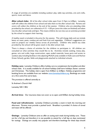A range of activities are available including outdoor play, table top activities, arts and crafts, sports, music and dance.

**After school clubs:** All of the after school clubs open from 3.15pm to 6.00pm. Lamesley staff will collect the children from school and take them to the after school club. Parents and carers will collect the children at the end of the session. Children who are attending clubs provided by the school, are collected at 4.15 – 4.30 pm (once the clubs are finished) and taken into the after school club until 6pm. This means children do not miss out on activities provided by the school to support their learning.

A healthy snack is included in the price for the session. This will change daily and can include beans on toast, pasta, cowboy pie and fresh fruit and vegetables. Children's suggestions are used to prepare our weekly menus across all provisions. Children who attend any clubs provided by the school will be given snack in the after-school club.

There is always a choice of activities for the children to participate in. All children are consulted on what activities they would like to do. Activities include cooking, messy play, games, arts and crafts, large construction, open ended materials, loose parts and access to outdoor play including facilities in the adjoining MUGA (only available in Kells Lane and Harlow Green School), garden, fields and playgrounds attached to individual schools.

**Holiday care:** Lamesley Childcare offers holiday care to complement the breakfast and after school clubs. It is usually available for all school holidays (half term holidays; Easter; summer and Christmas). The holiday club is open from 8.00am to 6.00pm. Holiday programme and booking forms are available from our website [www.lamesleychildare.org.](http://www.lamesleychildare.org/) Bookings are made on a first come first serve basis.

The provision is offered centrally at:

St Andrew's Church Hall

Lamesley NE11 0EU

**Arrival time:** Our insurance does not cover us to open until 8.00am during holiday times.

**Food and refreshments:** Lamesley Childcare provides a snack in both the morning and afternoon. Parents must provide a packed lunch. Breakfast is provided. A choice of cereal and toast will be offered.

**Outings:** Lamesley Childcare aims to offer an outing each week during holiday care. These are for a full day and therefore it is not possible to attend for a half day on days nominated for outings. Outings are usually very popular and therefore bookings for these days should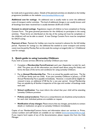be made early to guarantee a place. Details of the planned activities are detailed on the holiday programme (available on the website [www.lamesleychildcare.org\)](http://www.lamesleychildcare.org/).

**Additional cost for outings:** An additional cost is usually made to cover the additional costs of transport and/or activities. The level of additional charges is not usually known until all bookings have been received but is usually between £6.00 and £10.00.

**Consent to attend outings:** Regulations require all children to have completed an Outing Consent Form. This gives parental permission for the child(ren) to participate in the outing activities. These forms are distributed on the day of the outing and must be completed, or the child(ren) will not be able to attend. A new Outings Consent Form must be completed for EACH outing.

**Payment of fees:** Payment for holiday care must be received in advance for the full holiday period. Payments for outings (i.e. the additional fee needed to cover transport and activity costs) must be paid by Monday 9am on the week the outing is arranged (refer to 1.3 Additional cost for outings).

# **2. Quick guide to using Lamesley Childcare**

If you wish to access services offered by Lamesley Childcare you must:

- **EXP** Complete a **Membership Form/Contract** each year (September to July) for each child. This gives you all the information you should need about using the club(s) and forms the basis of the terms and conditions for using Lamesley Childcare.
- Pay an **Annual Membership Fee**. This is an annual fee payable each June. The fee is £7.00 per family (and not child). If you join Lamesley Childcare in January, a £7.00 Annual Membership Fee is payable immediately. However, it would still be eligible for renewal in June, an additional £7.00 fee for a one year period. Annual Membership Fees are payable by all families irrespective of the type and number of bookings made each year.
- **School notification:** You must inform the school that your child will be attending Lamesley Childcare provision
- **Policies and procedures**: There are a comprehensive set of policies and procedures for each club. Individual policies are available on request
- **Notification of any changes:** Please ensure that any changes, particularly to contact details or medication are given to Lamesley Childcare immediately.

Copies of our Membership/Contract forms and information about our services i.e. Prices, contact numbers and staff details are available on our website [\(www.lamesleychildcare.org\)](http://www.lamesleychildcare.org/). If you require hard copies of any of the documentation, please request this from the Club Manager.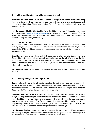#### **2.1 Making bookings for your child to attend the club**

**Breakfast club and after school club:** You should complete the section in the Membership Form to indicate which days you wish to book for each type of provision e.g. breakfast club and/or after school club. This is your booking for the full year, September to July, which is a 39 week period.

**Holiday care:** A Holiday Club Booking Form should be completed. This can be downloaded from the website [\(www.lamesleychildcare.org\)](http://www.lamesleychildcare.org/) or available from the Club Manager. This can either be completed and submitted to your term-time club or emailed to holidaybookings@lamesleychildcare.org

#### **2.2 Payment of fees**

Fees should be paid at least one week in advance. Payment MUST reach our account by 9am Monday (as you will appreciate, we are a charity, and we cannot accrue arrears). Payment can be made by BACS or childcare voucher – please state how payment is being made on your membership form.

**Breakfast club and after school club**: Full fees are payable for non-attendance. Therefore, if your child is sick or on holiday, fees still need to be paid for the full 39 weeks for the days of the week booked and detailed in your Membership Form. Also, in the event of extreme weather conditions, and the school has to close, a fee for both the breakfast club and after school will still be charged.

**Holiday care**: Fees are payable for all sessions booked, even if your child does not attend the session.

## **2.3 Making changes to bookings made**

**Cancellations:** If your child will not be attending the club as per your normal booking for breakfast and after school club and/or holiday care), you should telephone the Club Manager directly (see section 11. Club contact details) between 9.00am and 2.00pm (term time) and 8.00am to 10.00am (holiday time). The fee is still payable.

**Breakfast club and after school club:** If at any time throughout the year you wish to change the regular booking days outlined in your Membership Form, a Change to Contract Form should be completed. Changes to contracts such as cancelling regular bookings require four weeks' notice, a 'change of days' are subject to days being available. It is also the parent's responsibility to notify the school of any changes to the normal booking for breakfast and after school club (whether the changes are permanent or temporary).

**Holiday care**: Bookings should be made in advance of the holiday period. If after submitting the booking form you have additional requirements for using the club, you should speak to the Manager who will check to see if there is availability of the days needed.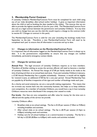# **3. Membership Form/ Contract**

A Lamesley Childcare Membership/Contract Form must be completed for each child using any of our clubs (breakfast, after-school and/or holiday). It gives us important information about the child as well as booking the days needed at the club(s). This ensures that we are able to provide the highest standards of care for your child. The Membership/Contract Form also acts as a legal contract between the parent/carer and Lamesley Childcare. If at any time you wish to change how you use the club this would require a change to the contract (refer to section 8.1 Changes to contract in this pack).

The Membership/Contract Form is valid for one year (including the bookings made) from September to the July. Therefore, a new Membership/Contract Form will need to be completed each year to ensure that all information is accurate and up to date.

## **3.1 Changes to information on the Membership/Contract Form**

It is important that all information logged on the Membership/Contract Form is always up to date. It is the parents/carers responsibility to ensure that any changes are notified immediately, particularly emergency contact details.

# **3.2 Charges for services used**

**Annual Fee:** The legal structure of Lamesley Childcare requires us to have members. Therefore all families wishing to access the services offered, will need to become a member of Lamesley Childcare. An Annual Fee charge of £7.00 per family needs to be made at the time of joining and then on an annual basis each June. If you join Lamesley Childcare in January, a £7.00 Annual Membership Fee is payable immediately. However, it would still be eligible for renewal in June, an additional £7.00 fee for a one year period. Annual Membership Fees are payable by all families irrespective of the type and number of bookings made each year.

As a charity and social enterprise, we are a non-profit making organisation. This means that we re-invest any monies back into the community business, this helps us to keep childcare cost competitive. As a member of Lamesley Childcare, you would have a say in how Lamesley Childcare resources were distributed if the company ever ceased to trade.

Fee levels: Our fees are very competitive and offer value for money for the time care is offered and the quality of the service we provide.

Lamesley Childcare offers:

- **Breakfast clubs at six school settings. The fee is £5.20 per session (7.30am to 9.00am)** including breakfast and activities.
- After school clubs at six school settings. The fee is  $£8.70$  per session (3.15pm to 6.00pm) including snack and activities.
- Holiday care for all school holidays is at a central location in Lamesley. The fee for a full day is £22.00 (8.00am to 6.00pm) with snacks and activities included.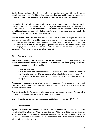**Booked sessions fee:** The full fee for all booked sessions must be paid even if a parent cancels this in advance. If a child is absent due to sickness or holiday leave or the school is closed as a result of extreme weather conditions, sessions fees will not be refunded.

**Late collection of children fee:** Any late collection of children from after school or holiday care will incur additional charges. A £10.00 charge will be made for every 15 minutes after 6.00pm. This is needed to cover the additional staff costs for the extended period of care. If any additional costs are incurred including costs for extended caretaker charges made by the school, these will also be passed onto the parent.

**Administrative fee:** An administrative fee will be made if parents neglect to mark any payment for fees with the child's name and unique club code as this incurs additional administrative time to confirm that payment has been made for the services booked. An administrative fee of £15 will be charged to parents who request 12 month retrospective proof of payment for HMRC (we advise parents to keep all receipts and a copy of their membership form to prove usage for other agencies).

## **3.3 Payment of fees**

**Audit trail:** Lamesley Childcare has more than 300 children using its clubs every day. To ensure that we are able to match payment made to the family easily and quickly, we ask that you code payments with both the child's:

- Child's surname and
- unique club code (remembering that if you use more than one club that the code will be different for each e.g. different code for after school club and holiday club). Your club Managers will be able to give you the unique code for their club and also for holiday club.

Parents must also provide proof of payment when requested. If information is not provided, you may incur additional administrative charges for the time spent trying to confirm that payment has been made.

**Payment methods:** Payments must be made weekly (or monthly or termly if preferred) in advance. Weekly fees must be in our account by 9am Monday.

Our bank details are: Barclays Bank sort code: 203351 Account number: 43501159.

## **5.1 Cancellations**

If your child will not be attending any normal session as detailed on the Membership Form, parents should telephone the Club Manager between 9.00am and 2.00pm (term time) and 8.00am and 10.00am (holiday time) to notify the club that the child(ren) will not be attending and/or does not need to be collected for the after school club. If sessions are cancelled, the full fee will still need to be paid.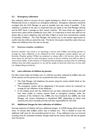# **5.2 Emergency collections**

Any collection which is not part of your regular booking (i.e. which is not marked on your Membership Form), is classed as an emergency collection. Emergency collections should be arranged with the Club Manager as soon as possible (one day notice if possible). If the collection is needed on the day it is important that you speak to the Club Manager directly and do NOT leave a message on their answer machine. We must check our registers to ensure that a place will be available for your child. It is important to know that staff are not always able to return telephone calls until after 2.45pm as some have commitments outside of Lamesley Childcare. The Club Manager will contact you at the earliest opportunity to confirm that the child can attend the club. The fee for the session should be made when you collect the child(ren) from the club on the day.

# **5.3 Extreme weather conditions**

Extreme weather may result in us operating a service until 4.30pm and asking parents to arrange for their child(ren) to be collected by their emergency contact (please see our Extreme Weather policy). Whilst we endeavor to always offer a full service, there will be times when we will have to take emergency action to ensure children and staff are able to return home safely. In this instance it is important that emergency contacts who are collecting children have the child's password, or we will be unable to hand the child over (in line with our safeguarding procedures).

# **5.4 Late collection of children by parents**

For after school clubs and holiday care, if a child has not been collected by 6.00pm (the end of the session) and the parent has not contacted the club in advance:

- **The Club Manager will telephone the parent using the contact details listed on the** child's Membership Form.
- **The emergency contact will be telephoned, if the parent cannot be contacted, to** arrange for the collection of the child(ren).
- In the unlikely event that the child(ren) has not been collected by 6.30pm and staff have been unable to contact anyone listed as emergency contacts, under the conditions of the Children's Act (1989), the Care Standards Act (2000), the Club Manager will contact Gateshead or Sunderland MBC (depending on which local authority the club is located) and they will take responsibility for the child.

# **5.5 Additional charges for late collection of children**

Any late collection of children will incur additional charges. A £10.00 charge will be made for every 15 minutes after 6.00pm and/or 1pm in holiday care. This is needed to cover the additional staff costs for the extended period of care. If any additional costs are incurred including costs for extended caretaker charges made by the school, these will also be passed onto the parent.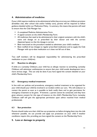# **4. Administration of medicine**

If your child requires medicine to be administered while they are at any our childcare provision (breakfast club, after school club and/or holiday care), parents will be required to follow guidance detailed within our Medication Policy. In summary, this means that parents will need to ensure that the Club Manager has:

- A completed Medicine Administration Form.
- A signed consent on the child's Membership Form.
- All medicines that need to be administered in their original containers with the child's name and dosage on as prescribed by their doctor and with the correct dispenser/spoon so that the dosage is correct.
- Been instructed on the procedure needed to administer your child's medicine
- **Been notified of any changes to regular prescribed medication and to supply the Club** Manager with up-to-date medication so it does not fall out of date.

Two staff members will be designated responsibility for administering the prescribed medication to your child(ren).

#### **6.1 Reaction to allergies**

If while at a Lamesley Childcare, your child has an allergic reaction to something, Lamesley Childcare will administer antihistamine to ensure that your child avoids development into a more serious stage. This can only be done if you have signed the consent detailed on your child's Membership Form.

## **6.2 Emergency medical treatment**

In line with our policies and procedures, emergency medical treatment to be organized for your child should your child be involved in an incident within our care. We will endeavor to contact the parent as soon as is possible to both notify them and to gain permission for emergency treatment to be given. If however, a parent cannot be contacted, and they have given advance consent for this type of instance on the child's Membership Form, Lamesley Childcare staff will give the appropriate permission upon advice received from medical professionals.

## **6.3 Sun protection**

Parents should make sure their child has sun protection on before bringing them into the club whenever possible, we can provide and apply sun protection on your child if weather conditions require this, providing you have signed the consent on the Membership Form.

## **5. Loss or damage to property**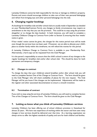Lamesley Childcare cannot be held responsible for the loss or damage to children's property. Parents and carers should encourage children to take care of their own personal belongings and refrain from bringing toys and other personal belongings into the club.

# **6. Changing regular bookings**

As bookings for breakfast club and after school club are usually made in September (as detailed on your Membership/Contract Form), any changes to family circumstances may require an amendment to the way that you use the provision. This could be to stop using the provision altogether or to change the days booked. In both instances, you will need to complete a Lamesley Childcare Change to Contract Form (refer to Section 3) ensuring that four weeks' notice is given.

If four weeks' notice cannot be given, the charges for this notice period must still be made even though the services have not been used. If however, we are able to allocate your child's place to another family within this timeframe, we will refund the monies for this period.

A Lamesley Childcare Change to Contract Form is available in your Membership Pack. Alternatively, a hard copy can be requested from the Club Manager.

It is the parent's responsibility to ensure that the child's school is aware of any changes to the regular bookings for breakfast club and/or after school club. This should be done for both permanent and temporary changes.

## **8.1 Changes to contract**

To change the days that your child(ren) attend breakfast and/or after school club you will need to complete Section One of the Change to Contract Form. The form should be given to the Club Manager who will check availability of places for the new request. The Club Manager will let you know if the changes can be implemented. Adjustments will be made to the register and other associated documentation to ensure a smooth transition.

## **8.2 Termination of contract**

If you wish to stop using the services of Lamesley Childcare, you will need to complete Section Two of the Changes to Contract Form. The form should be given to the Club Manager.

# **7. Letting us know what you think of Lamesley Childcare services**

Lamesley Childcare has been offering out of school childcare provision in Gateshead for almost 25 years. We have vast experience of working within the sector and have seen many changes in how services should be delivered over that time. As a learning organisation we always strive to offer the highest standards of quality and care for both children and families.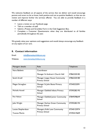We welcome feedback on all aspects of the service that we deliver and would encourage parents and carers to let us know, both positive and not so positive feedback, so that we can review and improve further the services offered. You are able to provide feedback in a number of different ways:

- **Leave a review on our Facebook page.**
- Talk to a member of staff.
- **Submit a Praises and Grumbles Form in the Club Suggestion Box.**
- **EXECOMPLEE 2 Customer Questionnaire when they are distributed to all families** periodically throughout the year.

We greatly value your opinions and suggestions and would always encourage any feedback on any aspect of our care.

# **8. Contact information**

Email: [info@lamesleychildcare.org](mailto:info@lamesleychildcare.org)

Website: [www.lamesleychildcare.org](http://www.lamesleychildcare.org/)

| Managers details:    | Role                                                           | Telephone   |  |  |
|----------------------|----------------------------------------------------------------|-------------|--|--|
| Nora Baldwin         | Coordinator                                                    |             |  |  |
|                      | Manager St Andrew's Church Hall                                | 07862220182 |  |  |
| Sarah Arnell         | <b>Manager Lingey House Community</b><br><b>Primary School</b> | 07862220180 |  |  |
| Megan Straughan      | Manager St John Boste Primary<br>School                        | 07540222091 |  |  |
| Michelle Howell      | Manager Oakfield Infants Primary<br>School                     | 07595282195 |  |  |
| Pam Nelson           | Manager Oakfield Junior Community<br>School                    | 07849398649 |  |  |
| Julie Wright         | <b>Manager Harlow Green Community</b><br><b>Primary School</b> | 07595282194 |  |  |
| Louise Shepherdson   | <b>Managers Kells Lane Community</b>                           | 07540125974 |  |  |
| <b>Yvonne Martin</b> | <b>Primary School</b>                                          | 07394419609 |  |  |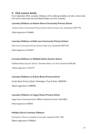# **9. Club contact details**

From September 2016, Lamesley Childcare will be offering breakfast and after school clubs from seven school sites and centralized holiday care from Lamesley:

#### **Lamesley Childcare at Harlow Green Community Primary School**

Harlow Green Community Primary School, Harlow Green Lane, Gateshead, NE9 7TB.

Ofsted registration: EY360603

#### **Lamesley Childcare at Kells Lane Community Primary School**

Kells Lane Community Primary School, Kells Lane, Gateshead NE9 5HX

Ofsted registration: EY362351

#### **Lamesley Childcare at Oakfield Infants & Junior School**

Oakfield Infants & Junior School, Chowdene Bank, Low Fell, Gateshead NE9 6JH

Ofsted registration: EY331741

#### **Lamesley Childcare at St John Boste Primary School**

St John Boste Primary School, Washington, Tyne & Wear, NE38 0HL Ofsted registration: EY489445

#### **Lamesley Childcare at Lingey House Primary School**

Lingey House Community School, Millford, Gateshead, Durham, NE10 8DN Ofsted registration: EY60672

#### **Holiday Club at Lamesley Childcare**

St Andrew's Church, Lamesley Crossroads, Gateshead NE11 0EU Ofsted registration: EY360616